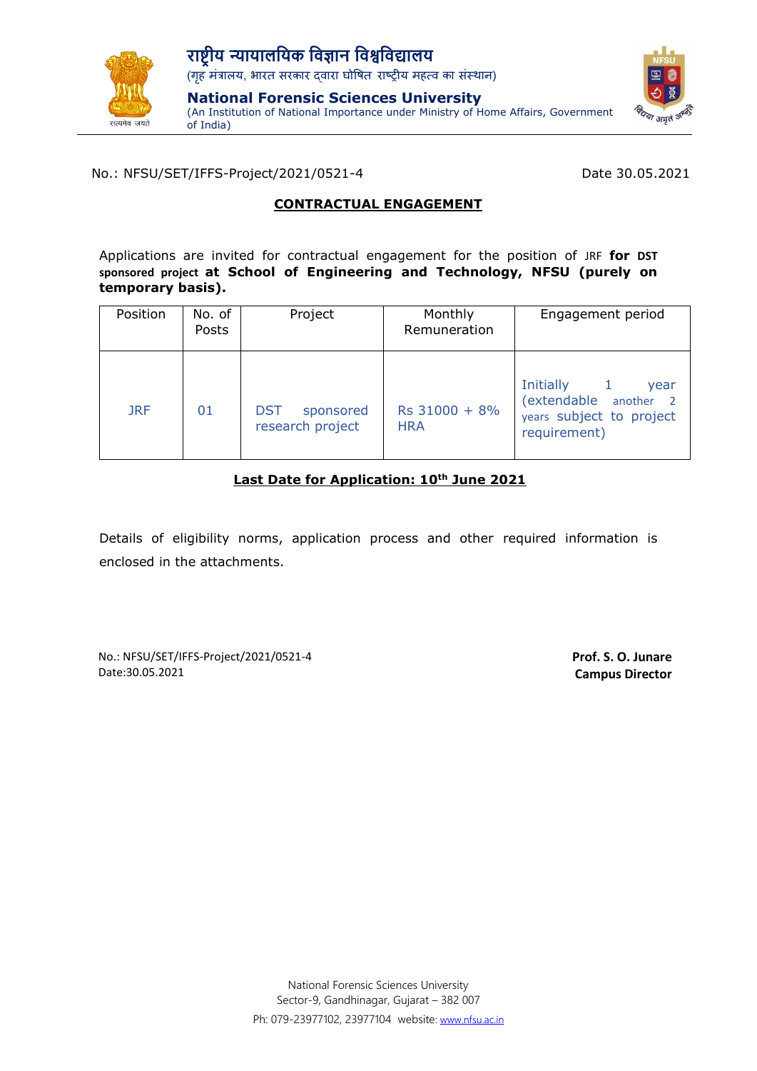

(An Institution of National Importance under Ministry of Home Affairs, Government of India)



No.: NFSU/SET/IFFS-Project/2021/0521-4 Date 30.05.2021

# **CONTRACTUAL ENGAGEMENT**

Applications are invited for contractual engagement for the position of JRF **for DST sponsored project at School of Engineering and Technology, NFSU (purely on temporary basis).**

| Position   | No. of<br>Posts | Project                                     | Monthly<br>Remuneration     | Engagement period                                                                                      |
|------------|-----------------|---------------------------------------------|-----------------------------|--------------------------------------------------------------------------------------------------------|
| <b>JRF</b> | 01              | <b>DST</b><br>sponsored<br>research project | Rs 31000 + 8%<br><b>HRA</b> | Initially<br>$\mathbf{1}$<br>year<br>(extendable another 2<br>years subject to project<br>requirement) |

# **Last Date for Application: 10th June 2021**

Details of eligibility norms, application process and other required information is enclosed in the attachments.

No.: NFSU/SET/IFFS-Project/2021/0521-4 Date:30.05.2021

**Prof. S. O. Junare Campus Director**